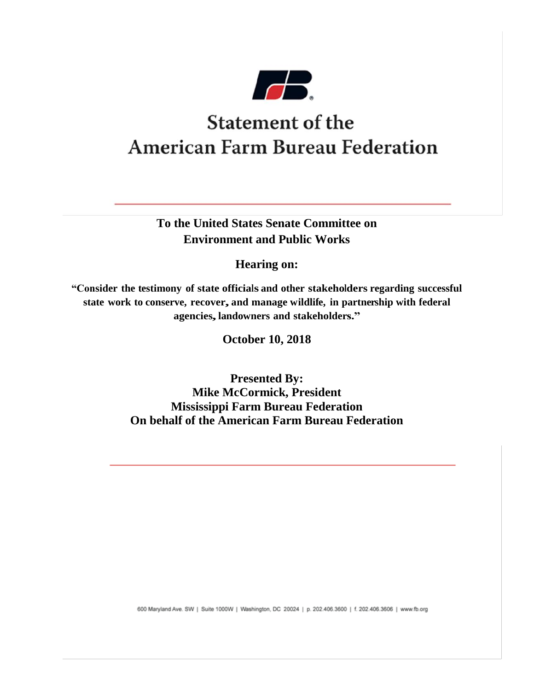

# **Statement of the American Farm Bureau Federation**

**To the United States Senate Committee on Environment and Public Works**

**Hearing on:**

**"Consider the testimony of state officials and other stakeholders regarding successful state work to conserve, recover, and manage wildlife, in partnership with federal agencies, landowners and stakeholders."**

**October 10, 2018**

**Presented By: Mike McCormick, President Mississippi Farm Bureau Federation On behalf of the American Farm Bureau Federation**

600 Maryland Ave. SW | Suite 1000W | Washington, DC 20024 | p. 202.406.3600 | f. 202.406.3606 | www.fb.org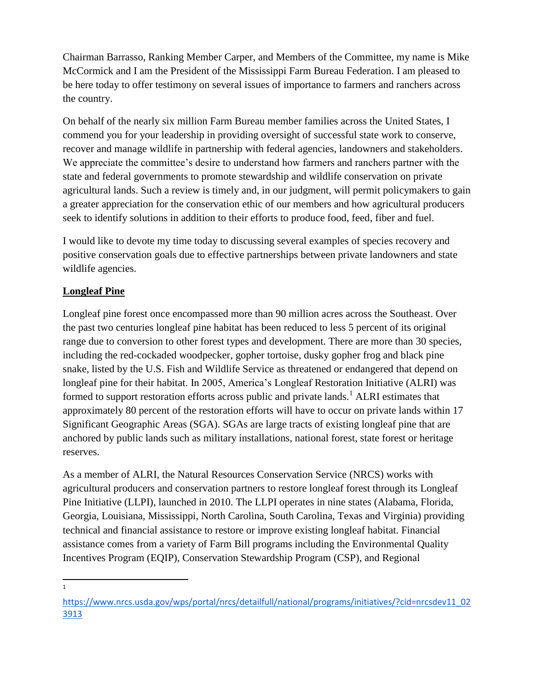Chairman Barrasso, Ranking Member Carper, and Members of the Committee, my name is Mike McCormick and I am the President of the Mississippi Farm Bureau Federation. I am pleased to be here today to offer testimony on several issues of importance to farmers and ranchers across the country.

On behalf of the nearly six million Farm Bureau member families across the United States, I commend you for your leadership in providing oversight of successful state work to conserve, recover and manage wildlife in partnership with federal agencies, landowners and stakeholders. We appreciate the committee's desire to understand how farmers and ranchers partner with the state and federal governments to promote stewardship and wildlife conservation on private agricultural lands. Such a review is timely and, in our judgment, will permit policymakers to gain a greater appreciation for the conservation ethic of our members and how agricultural producers seek to identify solutions in addition to their efforts to produce food, feed, fiber and fuel.

I would like to devote my time today to discussing several examples of species recovery and positive conservation goals due to effective partnerships between private landowners and state wildlife agencies.

# **Longleaf Pine**

Longleaf pine forest once encompassed more than 90 million acres across the Southeast. Over the past two centuries longleaf pine habitat has been reduced to less 5 percent of its original range due to conversion to other forest types and development. There are more than 30 species, including the red-cockaded woodpecker, gopher tortoise, dusky gopher frog and black pine snake, listed by the U.S. Fish and Wildlife Service as threatened or endangered that depend on longleaf pine for their habitat. In 2005, America's Longleaf Restoration Initiative (ALRI) was formed to support restoration efforts across public and private lands.<sup>1</sup> ALRI estimates that approximately 80 percent of the restoration efforts will have to occur on private lands within 17 Significant Geographic Areas (SGA). SGAs are large tracts of existing longleaf pine that are anchored by public lands such as military installations, national forest, state forest or heritage reserves.

As a member of ALRI, the Natural Resources Conservation Service (NRCS) works with agricultural producers and conservation partners to restore longleaf forest through its Longleaf Pine Initiative (LLPI), launched in 2010. The LLPI operates in nine states (Alabama, Florida, Georgia, Louisiana, Mississippi, North Carolina, South Carolina, Texas and Virginia) providing technical and financial assistance to restore or improve existing longleaf habitat. Financial assistance comes from a variety of Farm Bill programs including the Environmental Quality Incentives Program (EQIP), Conservation Stewardship Program (CSP), and Regional

 $\frac{1}{1}$ 

[https://www.nrcs.usda.gov/wps/portal/nrcs/detailfull/national/programs/initiatives/?cid=nrcsdev11\\_02](https://www.nrcs.usda.gov/wps/portal/nrcs/detailfull/national/programs/initiatives/?cid=nrcsdev11_023913) [3913](https://www.nrcs.usda.gov/wps/portal/nrcs/detailfull/national/programs/initiatives/?cid=nrcsdev11_023913)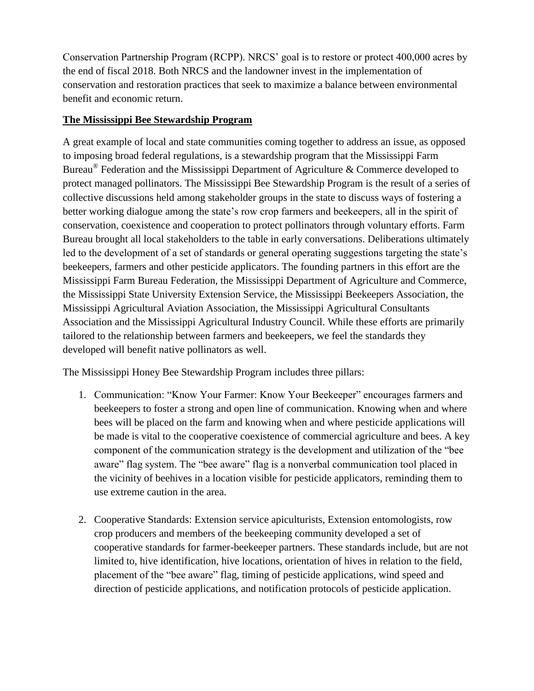Conservation Partnership Program (RCPP). NRCS' goal is to restore or protect 400,000 acres by the end of fiscal 2018. Both NRCS and the landowner invest in the implementation of conservation and restoration practices that seek to maximize a balance between environmental benefit and economic return.

#### **The Mississippi Bee Stewardship Program**

A great example of local and state communities coming together to address an issue, as opposed to imposing broad federal regulations, is a stewardship program that the Mississippi Farm Bureau<sup>®</sup> Federation and the Mississippi Department of Agriculture & Commerce developed to protect managed pollinators. The Mississippi Bee Stewardship Program is the result of a series of collective discussions held among stakeholder groups in the state to discuss ways of fostering a better working dialogue among the state's row crop farmers and beekeepers, all in the spirit of conservation, coexistence and cooperation to protect pollinators through voluntary efforts. Farm Bureau brought all local stakeholders to the table in early conversations. Deliberations ultimately led to the development of a set of standards or general operating suggestions targeting the state's beekeepers, farmers and other pesticide applicators. The founding partners in this effort are the Mississippi Farm Bureau Federation, the Mississippi Department of Agriculture and Commerce, the Mississippi State University Extension Service, the Mississippi Beekeepers Association, the Mississippi Agricultural Aviation Association, the Mississippi Agricultural Consultants Association and the Mississippi Agricultural Industry Council. While these efforts are primarily tailored to the relationship between farmers and beekeepers, we feel the standards they developed will benefit native pollinators as well.

The Mississippi Honey Bee Stewardship Program includes three pillars:

- 1. Communication: "Know Your Farmer: Know Your Beekeeper" encourages farmers and beekeepers to foster a strong and open line of communication. Knowing when and where bees will be placed on the farm and knowing when and where pesticide applications will be made is vital to the cooperative coexistence of commercial agriculture and bees. A key component of the communication strategy is the development and utilization of the "bee aware" flag system. The "bee aware" flag is a nonverbal communication tool placed in the vicinity of beehives in a location visible for pesticide applicators, reminding them to use extreme caution in the area.
- 2. Cooperative Standards: Extension service apiculturists, Extension entomologists, row crop producers and members of the beekeeping community developed a set of cooperative standards for farmer-beekeeper partners. These standards include, but are not limited to, hive identification, hive locations, orientation of hives in relation to the field, placement of the "bee aware" flag, timing of pesticide applications, wind speed and direction of pesticide applications, and notification protocols of pesticide application.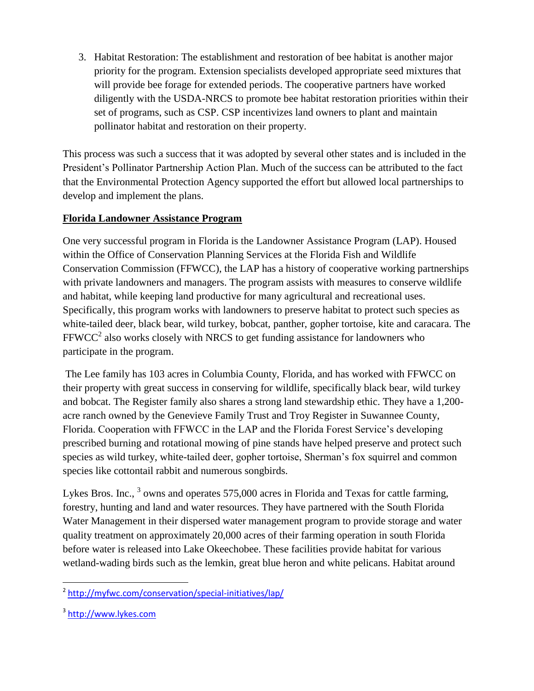3. Habitat Restoration: The establishment and restoration of bee habitat is another major priority for the program. Extension specialists developed appropriate seed mixtures that will provide bee forage for extended periods. The cooperative partners have worked diligently with the USDA-NRCS to promote bee habitat restoration priorities within their set of programs, such as CSP. CSP incentivizes land owners to plant and maintain pollinator habitat and restoration on their property.

This process was such a success that it was adopted by several other states and is included in the President's Pollinator Partnership Action Plan. Much of the success can be attributed to the fact that the Environmental Protection Agency supported the effort but allowed local partnerships to develop and implement the plans.

# **Florida Landowner Assistance Program**

One very successful program in Florida is the Landowner Assistance Program (LAP). Housed within the Office of Conservation Planning Services at the Florida Fish and Wildlife Conservation Commission (FFWCC), the LAP has a history of cooperative working partnerships with private landowners and managers. The program assists with measures to conserve wildlife and habitat, while keeping land productive for many agricultural and recreational uses. Specifically, this program works with landowners to preserve habitat to protect such species as white-tailed deer, black bear, wild turkey, bobcat, panther, gopher tortoise, kite and caracara. The  $FFWCC<sup>2</sup>$  also works closely with NRCS to get funding assistance for landowners who participate in the program.

The Lee family has 103 acres in Columbia County, Florida, and has worked with FFWCC on their property with great success in conserving for wildlife, specifically black bear, wild turkey and bobcat. The Register family also shares a strong land stewardship ethic. They have a 1,200 acre ranch owned by the Genevieve Family Trust and Troy Register in Suwannee County, Florida. Cooperation with FFWCC in the LAP and the Florida Forest Service's developing prescribed burning and rotational mowing of pine stands have helped preserve and protect such species as wild turkey, white-tailed deer, gopher tortoise, Sherman's fox squirrel and common species like cottontail rabbit and numerous songbirds.

Lykes Bros. Inc., <sup>3</sup> owns and operates 575,000 acres in Florida and Texas for cattle farming, forestry, hunting and land and water resources. They have partnered with the South Florida Water Management in their dispersed water management program to provide storage and water quality treatment on approximately 20,000 acres of their farming operation in south Florida before water is released into Lake Okeechobee. These facilities provide habitat for various wetland-wading birds such as the lemkin, great blue heron and white pelicans. Habitat around

<sup>2&</sup>lt;br>Anttp://myfwc.com/conservation/special-initiatives/lap/

<sup>&</sup>lt;sup>3</sup> [http://www.lykes.com](http://www.lykes.com/)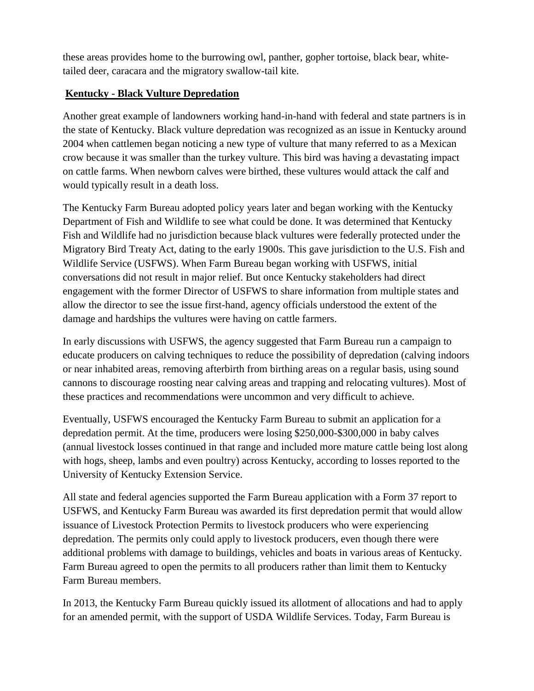these areas provides home to the burrowing owl, panther, gopher tortoise, black bear, whitetailed deer, caracara and the migratory swallow-tail kite.

#### **Kentucky - Black Vulture Depredation**

Another great example of landowners working hand-in-hand with federal and state partners is in the state of Kentucky. Black vulture depredation was recognized as an issue in Kentucky around 2004 when cattlemen began noticing a new type of vulture that many referred to as a Mexican crow because it was smaller than the turkey vulture. This bird was having a devastating impact on cattle farms. When newborn calves were birthed, these vultures would attack the calf and would typically result in a death loss.

The Kentucky Farm Bureau adopted policy years later and began working with the Kentucky Department of Fish and Wildlife to see what could be done. It was determined that Kentucky Fish and Wildlife had no jurisdiction because black vultures were federally protected under the Migratory Bird Treaty Act, dating to the early 1900s. This gave jurisdiction to the U.S. Fish and Wildlife Service (USFWS). When Farm Bureau began working with USFWS, initial conversations did not result in major relief. But once Kentucky stakeholders had direct engagement with the former Director of USFWS to share information from multiple states and allow the director to see the issue first-hand, agency officials understood the extent of the damage and hardships the vultures were having on cattle farmers.

In early discussions with USFWS, the agency suggested that Farm Bureau run a campaign to educate producers on calving techniques to reduce the possibility of depredation (calving indoors or near inhabited areas, removing afterbirth from birthing areas on a regular basis, using sound cannons to discourage roosting near calving areas and trapping and relocating vultures). Most of these practices and recommendations were uncommon and very difficult to achieve.

Eventually, USFWS encouraged the Kentucky Farm Bureau to submit an application for a depredation permit. At the time, producers were losing \$250,000-\$300,000 in baby calves (annual livestock losses continued in that range and included more mature cattle being lost along with hogs, sheep, lambs and even poultry) across Kentucky, according to losses reported to the University of Kentucky Extension Service.

All state and federal agencies supported the Farm Bureau application with a Form 37 report to USFWS, and Kentucky Farm Bureau was awarded its first depredation permit that would allow issuance of Livestock Protection Permits to livestock producers who were experiencing depredation. The permits only could apply to livestock producers, even though there were additional problems with damage to buildings, vehicles and boats in various areas of Kentucky. Farm Bureau agreed to open the permits to all producers rather than limit them to Kentucky Farm Bureau members.

In 2013, the Kentucky Farm Bureau quickly issued its allotment of allocations and had to apply for an amended permit, with the support of USDA Wildlife Services. Today, Farm Bureau is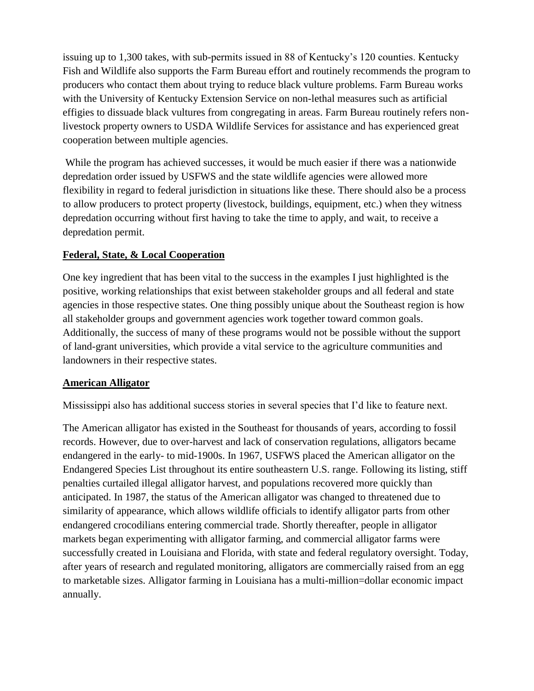issuing up to 1,300 takes, with sub-permits issued in 88 of Kentucky's 120 counties. Kentucky Fish and Wildlife also supports the Farm Bureau effort and routinely recommends the program to producers who contact them about trying to reduce black vulture problems. Farm Bureau works with the University of Kentucky Extension Service on non-lethal measures such as artificial effigies to dissuade black vultures from congregating in areas. Farm Bureau routinely refers nonlivestock property owners to USDA Wildlife Services for assistance and has experienced great cooperation between multiple agencies.

While the program has achieved successes, it would be much easier if there was a nationwide depredation order issued by USFWS and the state wildlife agencies were allowed more flexibility in regard to federal jurisdiction in situations like these. There should also be a process to allow producers to protect property (livestock, buildings, equipment, etc.) when they witness depredation occurring without first having to take the time to apply, and wait, to receive a depredation permit.

#### **Federal, State, & Local Cooperation**

One key ingredient that has been vital to the success in the examples I just highlighted is the positive, working relationships that exist between stakeholder groups and all federal and state agencies in those respective states. One thing possibly unique about the Southeast region is how all stakeholder groups and government agencies work together toward common goals. Additionally, the success of many of these programs would not be possible without the support of land-grant universities, which provide a vital service to the agriculture communities and landowners in their respective states.

#### **American Alligator**

Mississippi also has additional success stories in several species that I'd like to feature next.

The American alligator has existed in the Southeast for thousands of years, according to fossil records. However, due to over-harvest and lack of conservation regulations, alligators became endangered in the early- to mid-1900s. In 1967, USFWS placed the American alligator on the Endangered Species List throughout its entire southeastern U.S. range. Following its listing, stiff penalties curtailed illegal alligator harvest, and populations recovered more quickly than anticipated. In 1987, the status of the American alligator was changed to threatened due to similarity of appearance, which allows wildlife officials to identify alligator parts from other endangered crocodilians entering commercial trade. Shortly thereafter, people in alligator markets began experimenting with alligator farming, and commercial alligator farms were successfully created in Louisiana and Florida, with state and federal regulatory oversight. Today, after years of research and regulated monitoring, alligators are commercially raised from an egg to marketable sizes. Alligator farming in Louisiana has a multi-million=dollar economic impact annually.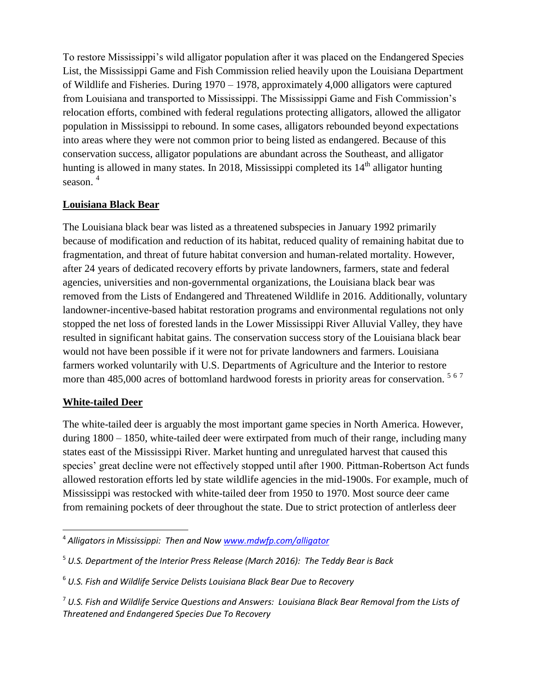To restore Mississippi's wild alligator population after it was placed on the Endangered Species List, the Mississippi Game and Fish Commission relied heavily upon the Louisiana Department of Wildlife and Fisheries. During 1970 – 1978, approximately 4,000 alligators were captured from Louisiana and transported to Mississippi. The Mississippi Game and Fish Commission's relocation efforts, combined with federal regulations protecting alligators, allowed the alligator population in Mississippi to rebound. In some cases, alligators rebounded beyond expectations into areas where they were not common prior to being listed as endangered. Because of this conservation success, alligator populations are abundant across the Southeast, and alligator hunting is allowed in many states. In 2018, Mississippi completed its  $14<sup>th</sup>$  alligator hunting season. 4

#### **Louisiana Black Bear**

The Louisiana black bear was listed as a threatened subspecies in January 1992 primarily because of modification and reduction of its habitat, reduced quality of remaining habitat due to fragmentation, and threat of future habitat conversion and human-related mortality. However, after 24 years of dedicated recovery efforts by private landowners, farmers, state and federal agencies, universities and non-governmental organizations, the Louisiana black bear was removed from the Lists of Endangered and Threatened Wildlife in 2016. Additionally, voluntary landowner-incentive-based habitat restoration programs and environmental regulations not only stopped the net loss of forested lands in the Lower Mississippi River Alluvial Valley, they have resulted in significant habitat gains. The conservation success story of the Louisiana black bear would not have been possible if it were not for private landowners and farmers. Louisiana farmers worked voluntarily with U.S. Departments of Agriculture and the Interior to restore more than 485,000 acres of bottomland hardwood forests in priority areas for conservation.<sup>567</sup>

#### **White-tailed Deer**

The white-tailed deer is arguably the most important game species in North America. However, during 1800 – 1850, white-tailed deer were extirpated from much of their range, including many states east of the Mississippi River. Market hunting and unregulated harvest that caused this species' great decline were not effectively stopped until after 1900. Pittman-Robertson Act funds allowed restoration efforts led by state wildlife agencies in the mid-1900s. For example, much of Mississippi was restocked with white-tailed deer from 1950 to 1970. Most source deer came from remaining pockets of deer throughout the state. Due to strict protection of antlerless deer

 $\overline{\phantom{a}}$ 4 *Alligators in Mississippi: Then and Now [www.mdwfp.com/alligator](http://www.mdwfp.com/alligator)*

<sup>5</sup> *U.S. Department of the Interior Press Release (March 2016): The Teddy Bear is Back*

<sup>6</sup> *U.S. Fish and Wildlife Service Delists Louisiana Black Bear Due to Recovery*

<sup>7</sup> *U.S. Fish and Wildlife Service Questions and Answers: Louisiana Black Bear Removal from the Lists of Threatened and Endangered Species Due To Recovery*